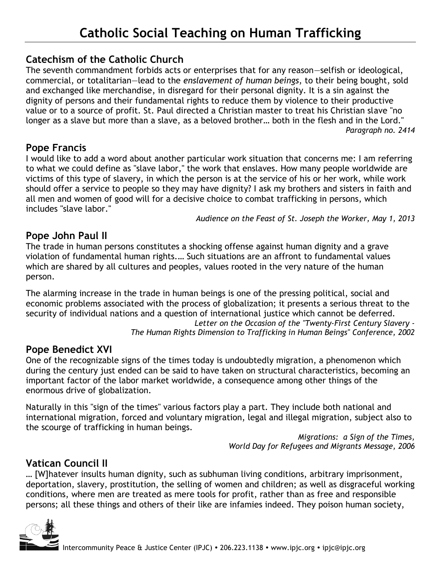### **Catechism of the Catholic Church**

The seventh commandment forbids acts or enterprises that for any reason—selfish or ideological, commercial, or totalitarian—lead to the *enslavement of human beings*, to their being bought, sold and exchanged like merchandise, in disregard for their personal dignity. It is a sin against the dignity of persons and their fundamental rights to reduce them by violence to their productive value or to a source of profit. St. Paul directed a Christian master to treat his Christian slave "no longer as a slave but more than a slave, as a beloved brother... both in the flesh and in the Lord." *Paragraph no. 2414*

#### **Pope Francis**

I would like to add a word about another particular work situation that concerns me: I am referring to what we could define as "slave labor," the work that enslaves. How many people worldwide are victims of this type of slavery, in which the person is at the service of his or her work, while work should offer a service to people so they may have dignity? I ask my brothers and sisters in faith and all men and women of good will for a decisive choice to combat trafficking in persons, which includes "slave labor."

*Audience on the Feast of St. Joseph the Worker, May 1, 2013*

### **Pope John Paul II**

The trade in human persons constitutes a shocking offense against human dignity and a grave violation of fundamental human rights.… Such situations are an affront to fundamental values which are shared by all cultures and peoples, values rooted in the very nature of the human person.

The alarming increase in the trade in human beings is one of the pressing political, social and economic problems associated with the process of globalization; it presents a serious threat to the security of individual nations and a question of international justice which cannot be deferred. *Letter on the Occasion of the "Twenty-First Century Slavery -*

*The Human Rights Dimension to Trafficking in Human Beings" Conference, 2002*

### **Pope Benedict XVI**

One of the recognizable signs of the times today is undoubtedly migration, a phenomenon which during the century just ended can be said to have taken on structural characteristics, becoming an important factor of the labor market worldwide, a consequence among other things of the enormous drive of globalization.

Naturally in this "sign of the times" various factors play a part. They include both national and international migration, forced and voluntary migration, legal and illegal migration, subject also to the scourge of trafficking in human beings.

*Migrations: a Sign of the Times, World Day for Refugees and Migrants Message, 2006*

### **Vatican Council II**

… [W]hatever insults human dignity, such as subhuman living conditions, arbitrary imprisonment, deportation, slavery, prostitution, the selling of women and children; as well as disgraceful working conditions, where men are treated as mere tools for profit, rather than as free and responsible persons; all these things and others of their like are infamies indeed. They poison human society,